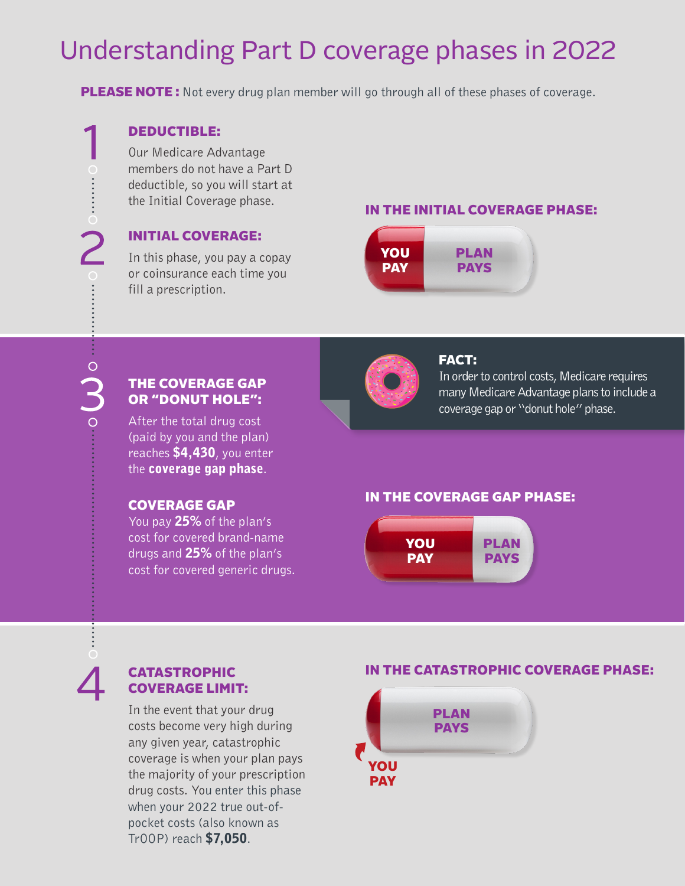# Understanding Part D coverage phases in 2022

**PLEASE NOTE:** Not every drug plan member will go through all of these phases of coverage.

### DEDUCTIBLE:

Our Medicare Advantage members do not have a Part D deductible, so you will start at the Initial Coverage phase.

#### INITIAL COVERAGE:

In this phase, you pay a copay or coinsurance each time you fill a prescription.

#### IN THE INITIAL COVERAGE PHASE:



FACT:

In order to control costs, Medicare requires many Medicare Advantage plans to include a

coverage gap or "donut hole" phase.

#### THE COVERAGE GAP OR "DONUT HOLE":

Do

After the total drug cost (paid by you and the plan) reaches \$4,430, you enter the coverage gap phase.

#### COVERAGE GAP

You pay 25% of the plan's cost for covered brand-name drugs and 25% of the plan's cost for covered generic drugs.

# IN THE COVERAGE GAP PHASE:



## CATASTROPHIC COVERAGE LIMIT:

In the event that your drug costs become very high during any given year, catastrophic coverage is when your plan pays the majority of your prescription drug costs. You enter this phase when your 2022 true out-ofpocket costs (also known as TrOOP) reach \$7,050.

#### IN THE CATASTROPHIC COVERAGE PHASE: